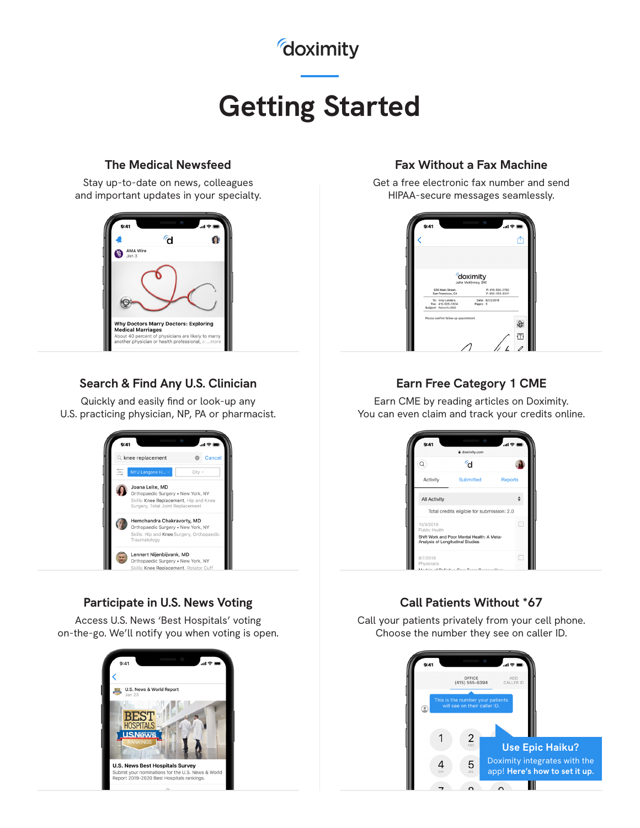## *doximity*

# **Getting Started**

### **The Medical Newsfeed**

Stay up-to-date on news, colleagues and important updates in your specialty.



### **Search & Find Any U.S. Clinician**

Quickly and easily find or look-up any U.S. practicing physician, NP, PA or pharmacist.



### **Participate in U.S. News Voting**

Access U.S. News 'Best Hospitals' voting on-the-go. We'll notify you when voting is open.



### **Fax Without a Fax Machine**

Get a free electronic fax number and send HIPAA-secure messages seamlessly.



### **Earn Free Category 1 CME**

Earn CME by reading articles on Doximity. You can even claim and track your credits online.



### **Call Patients Without \*67**

Call your patients privately from your cell phone. Choose the number they see on caller ID.